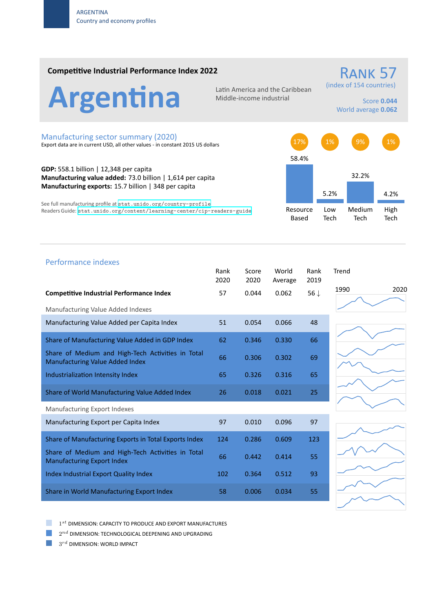### **Competitive Industrial Performance Index 2022**



Middle‐income industrial

# (index of 154 countries)

RANK 57

Score **0.044** World average **0.062**

#### Manufacturing sector summary (2020)

Export data are in current USD, all other values ‐ in constant 2015 US dollars

**GDP:** 558.1 billion | 12,348 per capita **Manufacturing value added:** 73.0 billion | 1,614 per capita **Manufacturing exports:** 15.7 billion | 348 per capita

See full manufacturing profile at stat.unido.org/country-profile Readers Guide: stat.unido.org/content/learning-center/cip-readers-guide



## Performance indexes Rank Score World Rank Trend 2020 2020 Average 2019 **Competitive Industrial Performance Index** 57 0.044 0.062 56 *↓* Manufacturing Value Added Indexes Manufacturing Value Added per Capita Index 51 0.054 0.066 48 Share of Manufacturing Value Added in GDP Index 62 0.346 0.330 66 Share of Medium and High‐Tech Activities in Total Share of Medium and High-fech Activities in fotal 66 = 0.306 = 0.302 = 69<br>Manufacturing Value Added Index Industrialization Intensity Index 65 0.326 0.316 65 Share of World Manufacturing Value Added Index  $26$  0.018 0.021 25 Manufacturing Export Indexes Manufacturing Export per Capita Index  $97$  0.010 0.096 97 Share of Manufacturing Exports in Total Exports Index 124 0.286 0.609 123 Share of Medium and High‐Tech Activities in Total Share of Medium and High-fech Activities in fotor 66 = 0.442 = 0.414 = 55 Index Industrial Export Quality Index 102 0.364 0.512 93 Share in World Manufacturing Export Index 58 58 0.006 0.034 55







1 *st* DIMENSION: CAPACITY TO PRODUCE AND EXPORT MANUFACTURES

 $2^{nd}$  DIMENSION: TECHNOLOGICAL DEEPENING AND UPGRADING

 $3^{rd}$  DIMENSION: WORLD IMPACT